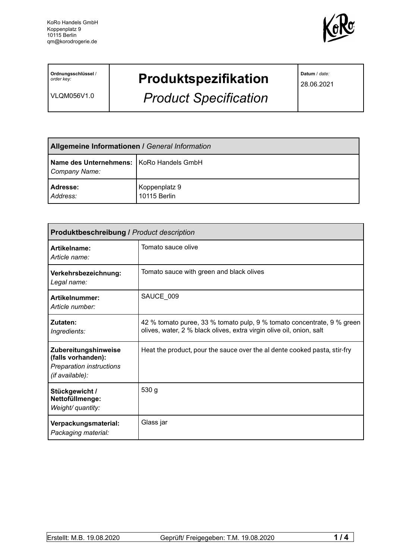

**Ordnungsschlüssel** / *order key:*

VLQM056V1.0

## **Produktspezifikation**

*Product Specification*

**Datum** / *date:*

28.06.2021

| <b>Allgemeine Informationen / General Information</b>       |                               |
|-------------------------------------------------------------|-------------------------------|
| Name des Unternehmens:   KoRo Handels GmbH<br>Company Name: |                               |
| Adresse:<br>Address:                                        | Koppenplatz 9<br>10115 Berlin |

| <b>Produktbeschreibung / Product description</b>                                          |                                                                                                                                                |  |  |  |
|-------------------------------------------------------------------------------------------|------------------------------------------------------------------------------------------------------------------------------------------------|--|--|--|
| Artikelname:<br>Article name:                                                             | Tomato sauce olive                                                                                                                             |  |  |  |
| Verkehrsbezeichnung:<br>Legal name:                                                       | Tomato sauce with green and black olives                                                                                                       |  |  |  |
| Artikelnummer:<br>Article number:                                                         | SAUCE_009                                                                                                                                      |  |  |  |
| Zutaten:<br>Ingredients:                                                                  | 42 % tomato puree, 33 % tomato pulp, 9 % tomato concentrate, 9 % green<br>olives, water, 2 % black olives, extra virgin olive oil, onion, salt |  |  |  |
| Zubereitungshinweise<br>(falls vorhanden):<br>Preparation instructions<br>(if available): | Heat the product, pour the sauce over the al dente cooked pasta, stir-fry                                                                      |  |  |  |
| Stückgewicht /<br>Nettofüllmenge:<br>Weight/ quantity:                                    | 530 g                                                                                                                                          |  |  |  |
| Verpackungsmaterial:<br>Packaging material:                                               | Glass jar                                                                                                                                      |  |  |  |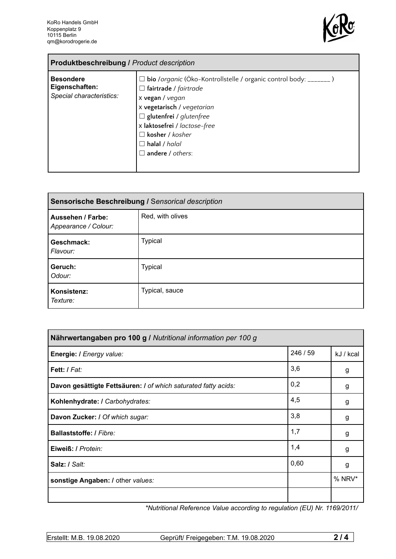

| <b>Produktbeschreibung / Product description</b>               |                                                                                                                                                                                                                                                                                                          |  |  |
|----------------------------------------------------------------|----------------------------------------------------------------------------------------------------------------------------------------------------------------------------------------------------------------------------------------------------------------------------------------------------------|--|--|
| <b>Besondere</b><br>Eigenschaften:<br>Special characteristics: | $\Box$ bio /organic (Öko-Kontrollstelle / organic control body: _______)<br>$\Box$ fairtrade / fairtrade<br>x vegan / vegan<br>x vegetarisch / vegetarian<br>$\Box$ glutenfrei / glutenfree<br>x laktosefrei / lactose-free<br>$\Box$ kosher / kosher<br>$\Box$ halal / halal<br>$\Box$ andere / others: |  |  |

| Sensorische Beschreibung / Sensorical description |                  |  |
|---------------------------------------------------|------------------|--|
| Aussehen / Farbe:<br>Appearance / Colour:         | Red, with olives |  |
| Geschmack:<br>Flavour:                            | <b>Typical</b>   |  |
| Geruch:<br>Odour:                                 | <b>Typical</b>   |  |
| Konsistenz:<br>Texture:                           | Typical, sauce   |  |

| Nährwertangaben pro 100 g / Nutritional information per 100 g  |          |           |
|----------------------------------------------------------------|----------|-----------|
| Energie: I Energy value:                                       | 246 / 59 | kJ / kcal |
| <b>Fett:</b> I Fat:                                            | 3,6      | g         |
| Davon gesättigte Fettsäuren: I of which saturated fatty acids: | 0,2      | g         |
| Kohlenhydrate: I Carbohydrates:                                | 4,5      | g         |
| Davon Zucker: / Of which sugar:                                | 3,8      | g         |
| Ballaststoffe: / Fibre:                                        | 1,7      | g         |
| Eiweiß: / Protein:                                             | 1,4      | g         |
| Salz: / Salt:                                                  | 0,60     | g         |
| sonstige Angaben: / other values:                              |          | $%$ NRV*  |
|                                                                |          |           |

*\*Nutritional Reference Value according to regulation (EU) Nr. 1169/2011/*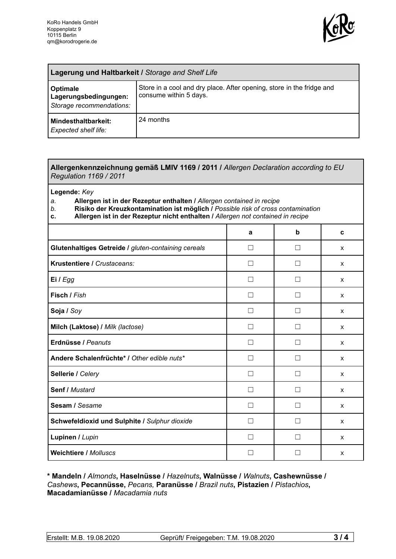

| Lagerung und Haltbarkeit / Storage and Shelf Life             |                                                                                                 |  |
|---------------------------------------------------------------|-------------------------------------------------------------------------------------------------|--|
| Optimale<br>Lagerungsbedingungen:<br>Storage recommendations: | Store in a cool and dry place. After opening, store in the fridge and<br>consume within 5 days. |  |
| Mindesthaltbarkeit:<br><b>Expected shelf life:</b>            | 24 months                                                                                       |  |

## **Allergenkennzeichnung gemäß LMIV 1169 / 2011 /** *Allergen Declaration according to EU Regulation 1169 / 2011*

**Legende:** *Key*

*a.* **Allergen ist in der Rezeptur enthalten /** *Allergen contained in recipe*

- *b.* **Risiko der Kreuzkontamination ist möglich /** *Possible risk of cross contamination*
- **c. Allergen ist in der Rezeptur nicht enthalten /** *Allergen not contained in recipe*

|                                                     | a            | b            | C |
|-----------------------------------------------------|--------------|--------------|---|
| Glutenhaltiges Getreide / gluten-containing cereals | - 1          |              | X |
| Krustentiere / Crustaceans:                         |              |              | X |
| Ei / Egg                                            |              |              | X |
| Fisch / Fish                                        |              |              | X |
| Soja / Soy                                          |              |              | X |
| Milch (Laktose) / Milk (lactose)                    | $\perp$      | $\mathsf{L}$ | X |
| Erdnüsse / Peanuts                                  | $\perp$      | $\Box$       | X |
| Andere Schalenfrüchte* / Other edible nuts*         | П            | П            | X |
| Sellerie / Celery                                   | $\mathsf{L}$ | П            | X |
| Senf / Mustard                                      | П            | $\Box$       | X |
| Sesam / Sesame                                      |              |              | X |
| Schwefeldioxid und Sulphite / Sulphur dioxide       |              |              | X |
| Lupinen / Lupin                                     |              |              | X |
| <b>Weichtiere / Molluscs</b>                        |              |              | X |

**\* Mandeln /** *Almonds***, Haselnüsse /** *Hazelnuts***, Walnüsse /** *Walnuts***, Cashewnüsse /** *Cashews***, Pecannüsse,** *Pecans,* **Paranüsse /** *Brazil nuts***, Pistazien /** *Pistachios***, Macadamianüsse /** *Macadamia nuts*